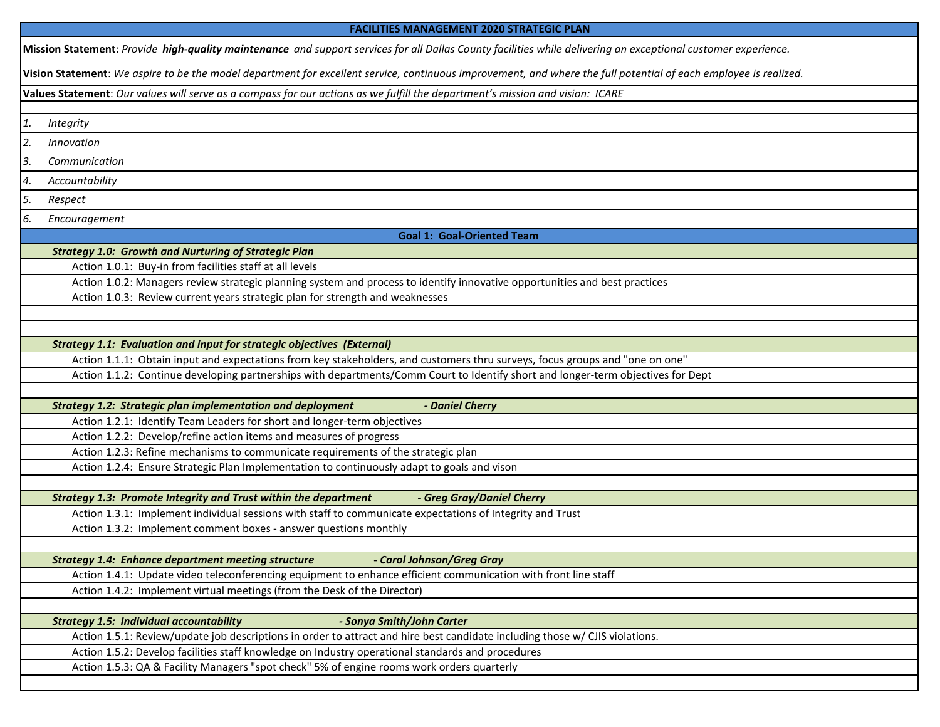| <b>FACILITIES MANAGEMENT 2020 STRATEGIC PLAN</b>                                                                                                                                                                 |
|------------------------------------------------------------------------------------------------------------------------------------------------------------------------------------------------------------------|
| Mission Statement: Provide high-quality maintenance and support services for all Dallas County facilities while delivering an exceptional customer experience.                                                   |
| Vision Statement: We aspire to be the model department for excellent service, continuous improvement, and where the full potential of each employee is realized.                                                 |
| Values Statement: Our values will serve as a compass for our actions as we fulfill the department's mission and vision: ICARE                                                                                    |
|                                                                                                                                                                                                                  |
| 1.<br><b>Integrity</b>                                                                                                                                                                                           |
| <b>Innovation</b><br>2.                                                                                                                                                                                          |
| 3.<br>Communication                                                                                                                                                                                              |
| Accountability<br>4.                                                                                                                                                                                             |
| 5.<br>Respect                                                                                                                                                                                                    |
| Encouragement<br>6.                                                                                                                                                                                              |
| <b>Goal 1: Goal-Oriented Team</b>                                                                                                                                                                                |
| <b>Strategy 1.0: Growth and Nurturing of Strategic Plan</b>                                                                                                                                                      |
| Action 1.0.1: Buy-in from facilities staff at all levels                                                                                                                                                         |
| Action 1.0.2: Managers review strategic planning system and process to identify innovative opportunities and best practices                                                                                      |
| Action 1.0.3: Review current years strategic plan for strength and weaknesses                                                                                                                                    |
|                                                                                                                                                                                                                  |
| <b>Strategy 1.1: Evaluation and input for strategic objectives (External)</b>                                                                                                                                    |
| Action 1.1.1: Obtain input and expectations from key stakeholders, and customers thru surveys, focus groups and "one on one"                                                                                     |
| Action 1.1.2: Continue developing partnerships with departments/Comm Court to Identify short and longer-term objectives for Dept                                                                                 |
|                                                                                                                                                                                                                  |
| - Daniel Cherry<br><b>Strategy 1.2: Strategic plan implementation and deployment</b>                                                                                                                             |
| Action 1.2.1: Identify Team Leaders for short and longer-term objectives                                                                                                                                         |
| Action 1.2.2: Develop/refine action items and measures of progress                                                                                                                                               |
| Action 1.2.3: Refine mechanisms to communicate requirements of the strategic plan                                                                                                                                |
| Action 1.2.4: Ensure Strategic Plan Implementation to continuously adapt to goals and vison                                                                                                                      |
|                                                                                                                                                                                                                  |
| <b>Strategy 1.3: Promote Integrity and Trust within the department</b><br>- Greg Gray/Daniel Cherry<br>Action 1.3.1: Implement individual sessions with staff to communicate expectations of Integrity and Trust |
| Action 1.3.2: Implement comment boxes - answer questions monthly                                                                                                                                                 |
|                                                                                                                                                                                                                  |
| <b>Strategy 1.4: Enhance department meeting structure</b><br>- Carol Johnson/Greg Gray                                                                                                                           |
| Action 1.4.1: Update video teleconferencing equipment to enhance efficient communication with front line staff                                                                                                   |
| Action 1.4.2: Implement virtual meetings (from the Desk of the Director)                                                                                                                                         |
|                                                                                                                                                                                                                  |
| <b>Strategy 1.5: Individual accountability</b><br>- Sonya Smith/John Carter                                                                                                                                      |
| Action 1.5.1: Review/update job descriptions in order to attract and hire best candidate including those w/ CJIS violations.                                                                                     |
| Action 1.5.2: Develop facilities staff knowledge on Industry operational standards and procedures                                                                                                                |
| Action 1.5.3: QA & Facility Managers "spot check" 5% of engine rooms work orders quarterly                                                                                                                       |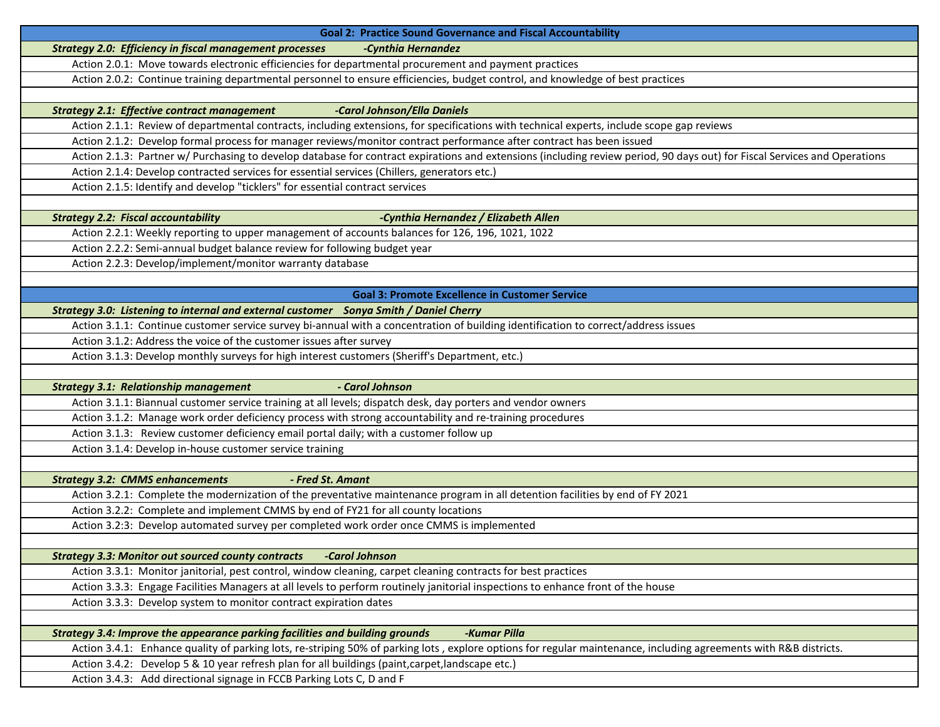| <b>Goal 2: Practice Sound Governance and Fiscal Accountability</b>                                                                                                        |
|---------------------------------------------------------------------------------------------------------------------------------------------------------------------------|
| <b>Strategy 2.0: Efficiency in fiscal management processes</b><br>-Cynthia Hernandez                                                                                      |
| Action 2.0.1: Move towards electronic efficiencies for departmental procurement and payment practices                                                                     |
| Action 2.0.2: Continue training departmental personnel to ensure efficiencies, budget control, and knowledge of best practices                                            |
|                                                                                                                                                                           |
| -Carol Johnson/Ella Daniels<br><b>Strategy 2.1: Effective contract management</b>                                                                                         |
| Action 2.1.1: Review of departmental contracts, including extensions, for specifications with technical experts, include scope gap reviews                                |
| Action 2.1.2: Develop formal process for manager reviews/monitor contract performance after contract has been issued                                                      |
| Action 2.1.3: Partner w/ Purchasing to develop database for contract expirations and extensions (including review period, 90 days out) for Fiscal Services and Operations |
| Action 2.1.4: Develop contracted services for essential services (Chillers, generators etc.)                                                                              |
| Action 2.1.5: Identify and develop "ticklers" for essential contract services                                                                                             |
|                                                                                                                                                                           |
| <b>Strategy 2.2: Fiscal accountability</b><br>-Cynthia Hernandez / Elizabeth Allen                                                                                        |
| Action 2.2.1: Weekly reporting to upper management of accounts balances for 126, 196, 1021, 1022                                                                          |
| Action 2.2.2: Semi-annual budget balance review for following budget year                                                                                                 |
| Action 2.2.3: Develop/implement/monitor warranty database                                                                                                                 |
|                                                                                                                                                                           |
| <b>Goal 3: Promote Excellence in Customer Service</b>                                                                                                                     |
| Strategy 3.0: Listening to internal and external customer Sonya Smith / Daniel Cherry                                                                                     |
| Action 3.1.1: Continue customer service survey bi-annual with a concentration of building identification to correct/address issues                                        |
| Action 3.1.2: Address the voice of the customer issues after survey                                                                                                       |
| Action 3.1.3: Develop monthly surveys for high interest customers (Sheriff's Department, etc.)                                                                            |
|                                                                                                                                                                           |
| - Carol Johnson<br><b>Strategy 3.1: Relationship management</b>                                                                                                           |
| Action 3.1.1: Biannual customer service training at all levels; dispatch desk, day porters and vendor owners                                                              |
| Action 3.1.2: Manage work order deficiency process with strong accountability and re-training procedures                                                                  |
| Action 3.1.3: Review customer deficiency email portal daily; with a customer follow up                                                                                    |
| Action 3.1.4: Develop in-house customer service training                                                                                                                  |
|                                                                                                                                                                           |
| - Fred St. Amant<br><b>Strategy 3.2: CMMS enhancements</b>                                                                                                                |
| Action 3.2.1: Complete the modernization of the preventative maintenance program in all detention facilities by end of FY 2021                                            |
| Action 3.2.2: Complete and implement CMMS by end of FY21 for all county locations                                                                                         |
| Action 3.2:3: Develop automated survey per completed work order once CMMS is implemented                                                                                  |
|                                                                                                                                                                           |
| Strategy 3.3: Monitor out sourced county contracts - Carol Johnson                                                                                                        |
| Action 3.3.1: Monitor janitorial, pest control, window cleaning, carpet cleaning contracts for best practices                                                             |
| Action 3.3.3: Engage Facilities Managers at all levels to perform routinely janitorial inspections to enhance front of the house                                          |
| Action 3.3.3: Develop system to monitor contract expiration dates                                                                                                         |
|                                                                                                                                                                           |
| -Kumar Pilla<br>Strategy 3.4: Improve the appearance parking facilities and building grounds                                                                              |
| Action 3.4.1: Enhance quality of parking lots, re-striping 50% of parking lots, explore options for regular maintenance, including agreements with R&B districts.         |
| Action 3.4.2: Develop 5 & 10 year refresh plan for all buildings (paint, carpet, landscape etc.)                                                                          |
| Action 3.4.3: Add directional signage in FCCB Parking Lots C, D and F                                                                                                     |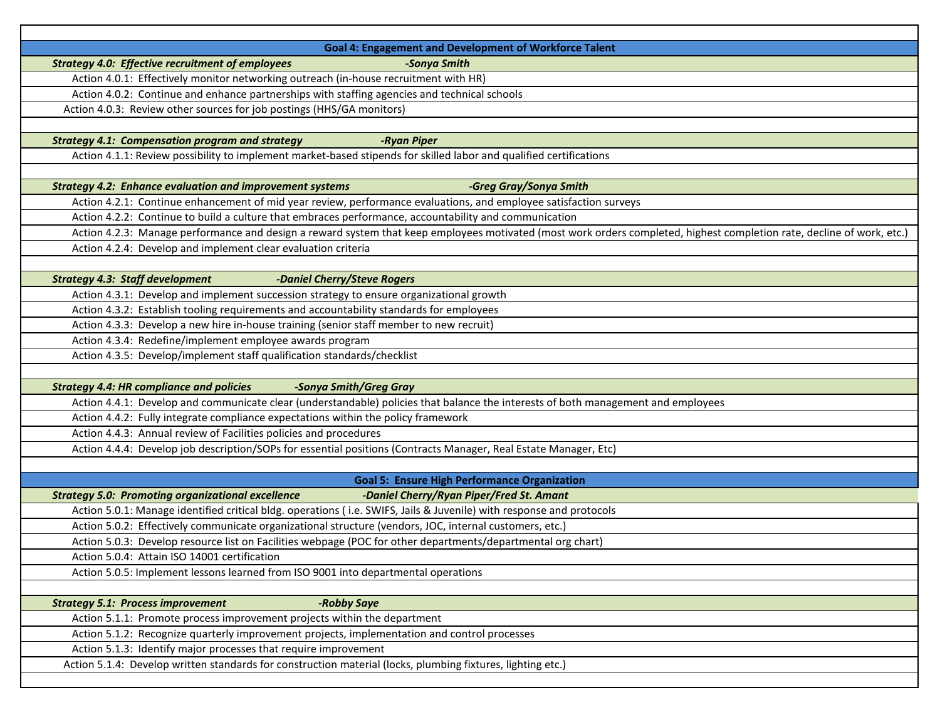|                                          | <b>Goal 4: Engagement and Development of Workforce Talent</b>                                                                                                          |
|------------------------------------------|------------------------------------------------------------------------------------------------------------------------------------------------------------------------|
|                                          | -Sonya Smith<br><b>Strategy 4.0: Effective recruitment of employees</b>                                                                                                |
|                                          | Action 4.0.1: Effectively monitor networking outreach (in-house recruitment with HR)                                                                                   |
|                                          | Action 4.0.2: Continue and enhance partnerships with staffing agencies and technical schools                                                                           |
|                                          | Action 4.0.3: Review other sources for job postings (HHS/GA monitors)                                                                                                  |
|                                          |                                                                                                                                                                        |
|                                          | <b>Strategy 4.1: Compensation program and strategy</b><br>-Ryan Piper                                                                                                  |
|                                          | Action 4.1.1: Review possibility to implement market-based stipends for skilled labor and qualified certifications                                                     |
|                                          |                                                                                                                                                                        |
|                                          | -Greg Gray/Sonya Smith<br><b>Strategy 4.2: Enhance evaluation and improvement systems</b>                                                                              |
|                                          | Action 4.2.1: Continue enhancement of mid year review, performance evaluations, and employee satisfaction surveys                                                      |
|                                          | Action 4.2.2: Continue to build a culture that embraces performance, accountability and communication                                                                  |
|                                          | Action 4.2.3: Manage performance and design a reward system that keep employees motivated (most work orders completed, highest completion rate, decline of work, etc.) |
|                                          | Action 4.2.4: Develop and implement clear evaluation criteria                                                                                                          |
|                                          |                                                                                                                                                                        |
| <b>Strategy 4.3: Staff development</b>   | -Daniel Cherry/Steve Rogers<br>Action 4.3.1: Develop and implement succession strategy to ensure organizational growth                                                 |
|                                          | Action 4.3.2: Establish tooling requirements and accountability standards for employees                                                                                |
|                                          | Action 4.3.3: Develop a new hire in-house training (senior staff member to new recruit)                                                                                |
|                                          | Action 4.3.4: Redefine/implement employee awards program                                                                                                               |
|                                          | Action 4.3.5: Develop/implement staff qualification standards/checklist                                                                                                |
|                                          |                                                                                                                                                                        |
|                                          | <b>Strategy 4.4: HR compliance and policies</b><br>-Sonya Smith/Greg Gray                                                                                              |
|                                          | Action 4.4.1: Develop and communicate clear (understandable) policies that balance the interests of both management and employees                                      |
|                                          | Action 4.4.2: Fully integrate compliance expectations within the policy framework                                                                                      |
|                                          | Action 4.4.3: Annual review of Facilities policies and procedures                                                                                                      |
|                                          | Action 4.4.4: Develop job description/SOPs for essential positions (Contracts Manager, Real Estate Manager, Etc)                                                       |
|                                          |                                                                                                                                                                        |
|                                          | <b>Goal 5: Ensure High Performance Organization</b>                                                                                                                    |
|                                          | -Daniel Cherry/Ryan Piper/Fred St. Amant<br><b>Strategy 5.0: Promoting organizational excellence</b>                                                                   |
|                                          | Action 5.0.1: Manage identified critical bldg. operations (i.e. SWIFS, Jails & Juvenile) with response and protocols                                                   |
|                                          | Action 5.0.2: Effectively communicate organizational structure (vendors, JOC, internal customers, etc.)                                                                |
|                                          | Action 5.0.3: Develop resource list on Facilities webpage (POC for other departments/departmental org chart)                                                           |
|                                          | Action 5.0.4: Attain ISO 14001 certification                                                                                                                           |
|                                          | Action 5.0.5: Implement lessons learned from ISO 9001 into departmental operations                                                                                     |
|                                          |                                                                                                                                                                        |
| <b>Strategy 5.1: Process improvement</b> | -Robby Saye                                                                                                                                                            |
|                                          | Action 5.1.1: Promote process improvement projects within the department                                                                                               |
|                                          | Action 5.1.2: Recognize quarterly improvement projects, implementation and control processes                                                                           |
|                                          | Action 5.1.3: Identify major processes that require improvement                                                                                                        |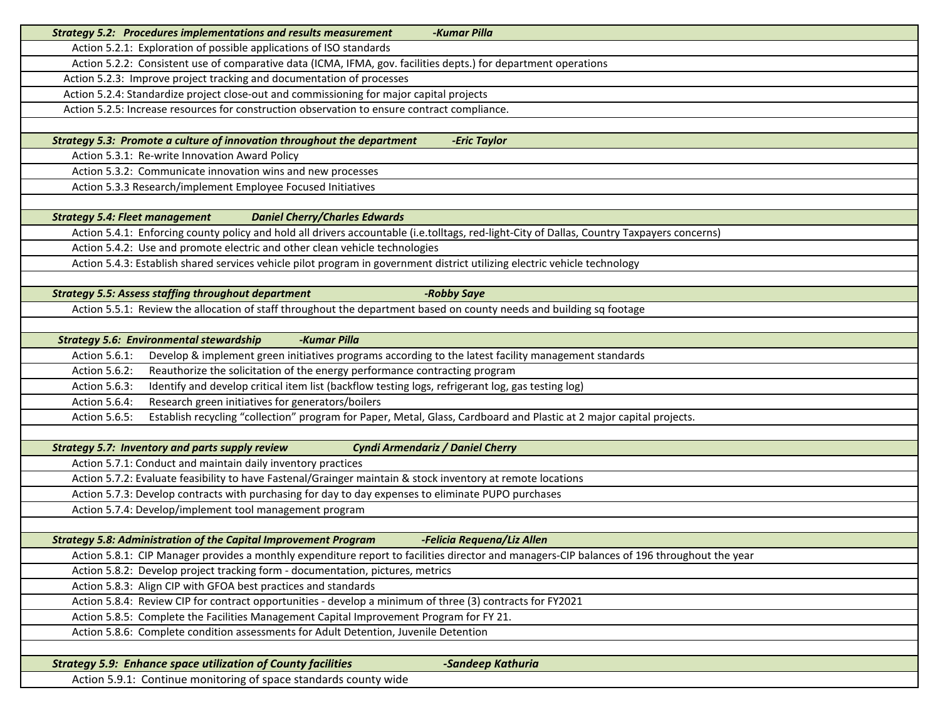| <b>Strategy 5.2: Procedures implementations and results measurement</b><br>-Kumar Pilla                                                     |
|---------------------------------------------------------------------------------------------------------------------------------------------|
| Action 5.2.1: Exploration of possible applications of ISO standards                                                                         |
| Action 5.2.2: Consistent use of comparative data (ICMA, IFMA, gov. facilities depts.) for department operations                             |
| Action 5.2.3: Improve project tracking and documentation of processes                                                                       |
| Action 5.2.4: Standardize project close-out and commissioning for major capital projects                                                    |
| Action 5.2.5: Increase resources for construction observation to ensure contract compliance.                                                |
|                                                                                                                                             |
| Strategy 5.3: Promote a culture of innovation throughout the department<br>-Eric Taylor                                                     |
| Action 5.3.1: Re-write Innovation Award Policy                                                                                              |
| Action 5.3.2: Communicate innovation wins and new processes                                                                                 |
| Action 5.3.3 Research/implement Employee Focused Initiatives                                                                                |
|                                                                                                                                             |
| <b>Strategy 5.4: Fleet management</b><br><b>Daniel Cherry/Charles Edwards</b>                                                               |
| Action 5.4.1: Enforcing county policy and hold all drivers accountable (i.e.tolltags, red-light-City of Dallas, Country Taxpayers concerns) |
| Action 5.4.2: Use and promote electric and other clean vehicle technologies                                                                 |
| Action 5.4.3: Establish shared services vehicle pilot program in government district utilizing electric vehicle technology                  |
|                                                                                                                                             |
| <b>Strategy 5.5: Assess staffing throughout department</b><br>-Robby Saye                                                                   |
| Action 5.5.1: Review the allocation of staff throughout the department based on county needs and building sq footage                        |
|                                                                                                                                             |
| -Kumar Pilla<br><b>Strategy 5.6: Environmental stewardship</b>                                                                              |
| Action 5.6.1:<br>Develop & implement green initiatives programs according to the latest facility management standards                       |
| Reauthorize the solicitation of the energy performance contracting program<br>Action 5.6.2:                                                 |
| Identify and develop critical item list (backflow testing logs, refrigerant log, gas testing log)<br>Action 5.6.3:                          |
| Research green initiatives for generators/boilers<br>Action 5.6.4:                                                                          |
| Establish recycling "collection" program for Paper, Metal, Glass, Cardboard and Plastic at 2 major capital projects.<br>Action 5.6.5:       |
|                                                                                                                                             |
| <b>Strategy 5.7: Inventory and parts supply review</b><br>Cyndi Armendariz / Daniel Cherry                                                  |
| Action 5.7.1: Conduct and maintain daily inventory practices                                                                                |
| Action 5.7.2: Evaluate feasibility to have Fastenal/Grainger maintain & stock inventory at remote locations                                 |
| Action 5.7.3: Develop contracts with purchasing for day to day expenses to eliminate PUPO purchases                                         |
| Action 5.7.4: Develop/implement tool management program                                                                                     |
|                                                                                                                                             |
| <b>Strategy 5.8: Administration of the Capital Improvement Program</b><br>-Felicia Requena/Liz Allen                                        |
| Action 5.8.1: CIP Manager provides a monthly expenditure report to facilities director and managers-CIP balances of 196 throughout the year |
| Action 5.8.2: Develop project tracking form - documentation, pictures, metrics                                                              |
| Action 5.8.3: Align CIP with GFOA best practices and standards                                                                              |
| Action 5.8.4: Review CIP for contract opportunities - develop a minimum of three (3) contracts for FY2021                                   |
| Action 5.8.5: Complete the Facilities Management Capital Improvement Program for FY 21.                                                     |
| Action 5.8.6: Complete condition assessments for Adult Detention, Juvenile Detention                                                        |
|                                                                                                                                             |
| <b>Strategy 5.9: Enhance space utilization of County facilities</b><br>-Sandeep Kathuria                                                    |
| Action 5.9.1: Continue monitoring of space standards county wide                                                                            |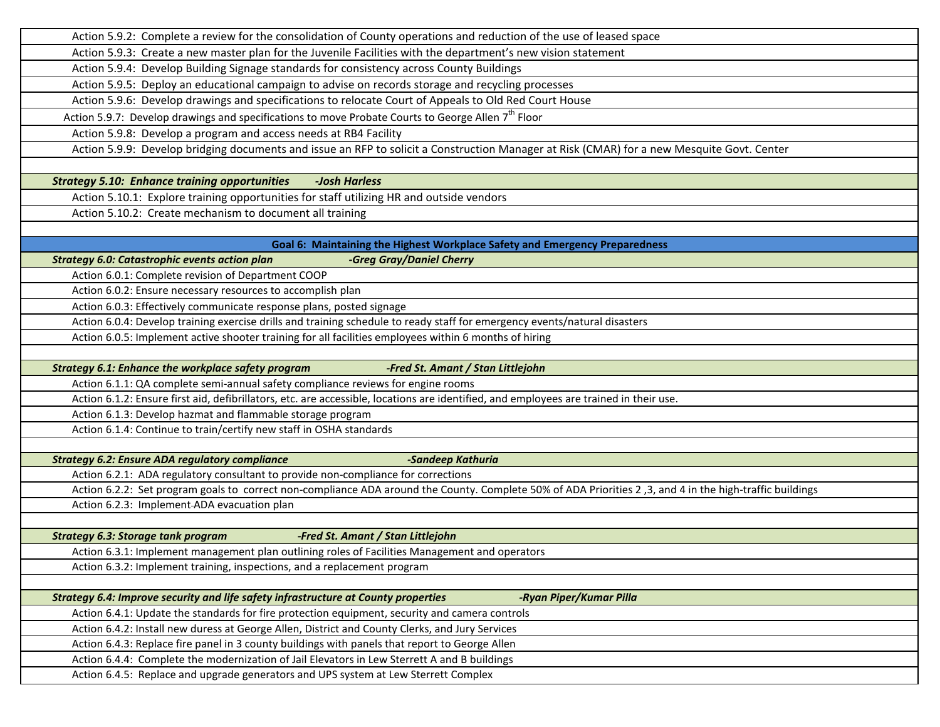| Action 5.9.2: Complete a review for the consolidation of County operations and reduction of the use of leased space                                      |
|----------------------------------------------------------------------------------------------------------------------------------------------------------|
| Action 5.9.3: Create a new master plan for the Juvenile Facilities with the department's new vision statement                                            |
| Action 5.9.4: Develop Building Signage standards for consistency across County Buildings                                                                 |
| Action 5.9.5: Deploy an educational campaign to advise on records storage and recycling processes                                                        |
| Action 5.9.6: Develop drawings and specifications to relocate Court of Appeals to Old Red Court House                                                    |
| Action 5.9.7: Develop drawings and specifications to move Probate Courts to George Allen 7 <sup>th</sup> Floor                                           |
| Action 5.9.8: Develop a program and access needs at RB4 Facility                                                                                         |
| Action 5.9.9: Develop bridging documents and issue an RFP to solicit a Construction Manager at Risk (CMAR) for a new Mesquite Govt. Center               |
|                                                                                                                                                          |
| <b>Strategy 5.10: Enhance training opportunities</b><br>-Josh Harless                                                                                    |
| Action 5.10.1: Explore training opportunities for staff utilizing HR and outside vendors                                                                 |
| Action 5.10.2: Create mechanism to document all training                                                                                                 |
|                                                                                                                                                          |
| Goal 6: Maintaining the Highest Workplace Safety and Emergency Preparedness                                                                              |
| <b>Strategy 6.0: Catastrophic events action plan</b><br>-Greg Gray/Daniel Cherry                                                                         |
| Action 6.0.1: Complete revision of Department COOP                                                                                                       |
| Action 6.0.2: Ensure necessary resources to accomplish plan                                                                                              |
| Action 6.0.3: Effectively communicate response plans, posted signage                                                                                     |
| Action 6.0.4: Develop training exercise drills and training schedule to ready staff for emergency events/natural disasters                               |
| Action 6.0.5: Implement active shooter training for all facilities employees within 6 months of hiring                                                   |
|                                                                                                                                                          |
| <b>Strategy 6.1: Enhance the workplace safety program</b><br>-Fred St. Amant / Stan Littlejohn                                                           |
| Action 6.1.1: QA complete semi-annual safety compliance reviews for engine rooms                                                                         |
| Action 6.1.2: Ensure first aid, defibrillators, etc. are accessible, locations are identified, and employees are trained in their use.                   |
| Action 6.1.3: Develop hazmat and flammable storage program                                                                                               |
| Action 6.1.4: Continue to train/certify new staff in OSHA standards                                                                                      |
|                                                                                                                                                          |
| <b>Strategy 6.2: Ensure ADA regulatory compliance</b><br>-Sandeep Kathuria                                                                               |
| Action 6.2.1: ADA regulatory consultant to provide non-compliance for corrections                                                                        |
| Action 6.2.2: Set program goals to correct non-compliance ADA around the County. Complete 50% of ADA Priorities 2,3, and 4 in the high-traffic buildings |
| Action 6.2.3: Implement-ADA evacuation plan                                                                                                              |
|                                                                                                                                                          |
| -Fred St. Amant / Stan Littlejohn<br><b>Strategy 6.3: Storage tank program</b>                                                                           |
| Action 6.3.1: Implement management plan outlining roles of Facilities Management and operators                                                           |
| Action 6.3.2: Implement training, inspections, and a replacement program                                                                                 |
|                                                                                                                                                          |
| Strategy 6.4: Improve security and life safety infrastructure at County properties<br>-Ryan Piper/Kumar Pilla                                            |
| Action 6.4.1: Update the standards for fire protection equipment, security and camera controls                                                           |
| Action 6.4.2: Install new duress at George Allen, District and County Clerks, and Jury Services                                                          |
| Action 6.4.3: Replace fire panel in 3 county buildings with panels that report to George Allen                                                           |
| Action 6.4.4: Complete the modernization of Jail Elevators in Lew Sterrett A and B buildings                                                             |
| Action 6.4.5: Replace and upgrade generators and UPS system at Lew Sterrett Complex                                                                      |